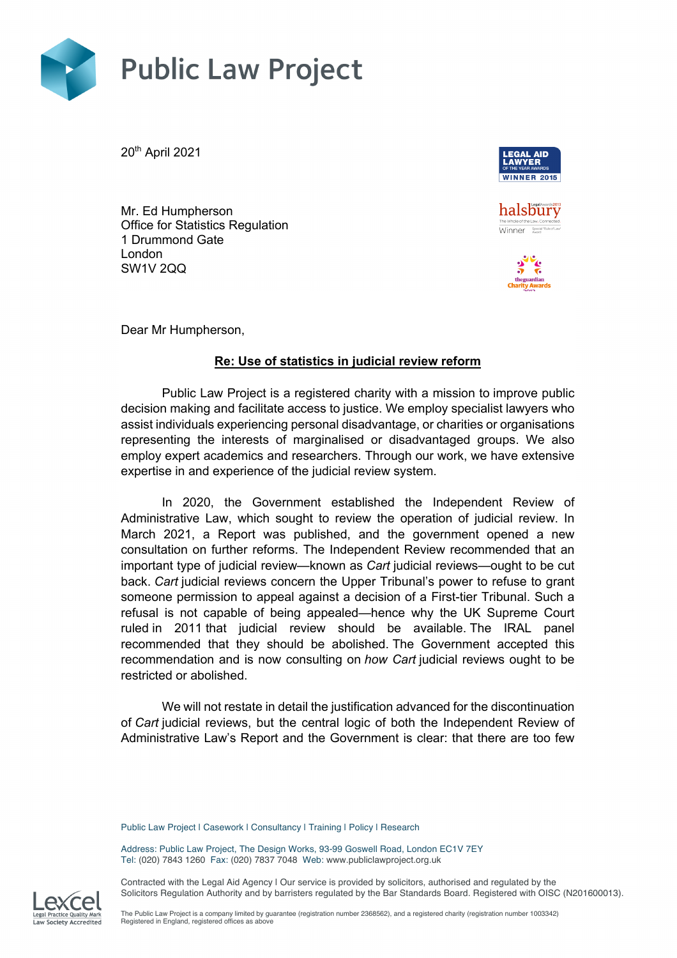

20th April 2021



halsbury Winner Special Rule of Law

Mr. Ed Humpherson Office for Statistics Regulation 1 Drummond Gate London SW1V 2QQ



Dear Mr Humpherson,

## **Re: Use of statistics in judicial review reform**

Public Law Project is a registered charity with a mission to improve public decision making and facilitate access to justice. We employ specialist lawyers who assist individuals experiencing personal disadvantage, or charities or organisations representing the interests of marginalised or disadvantaged groups. We also employ expert academics and researchers. Through our work, we have extensive expertise in and experience of the judicial review system.

In 2020, the Government established the Independent Review of Administrative Law, which sought to review the operation of judicial review. In March 2021, a Report was published, and the government opened a new consultation on further reforms. The Independent Review recommended that an important type of judicial review—known as *Cart* judicial reviews—ought to be cut back. *Cart* judicial reviews concern the Upper Tribunal's power to refuse to grant someone permission to appeal against a decision of a First-tier Tribunal. Such a refusal is not capable of being appealed—hence why the UK Supreme Court ruled in 2011 that judicial review should be available. The IRAL panel recommended that they should be abolished. The Government accepted this recommendation and is now consulting on *how Cart* judicial reviews ought to be restricted or abolished.

We will not restate in detail the justification advanced for the discontinuation of *Cart* judicial reviews, but the central logic of both the Independent Review of Administrative Law's Report and the Government is clear: that there are too few

Public Law Project | Casework | Consultancy | Training | Policy | Research

Address: Public Law Project, The Design Works, 93-99 Goswell Road, London EC1V 7EY Tel: (020) 7843 1260 Fax: (020) 7837 7048 Web: www.publiclawproject.org.uk

Contracted with the Legal Aid Agency I Our service is provided by solicitors, authorised and regulated by the Solicitors Regulation Authority and by barristers regulated by the Bar Standards Board. Registered with OISC (N201600013).